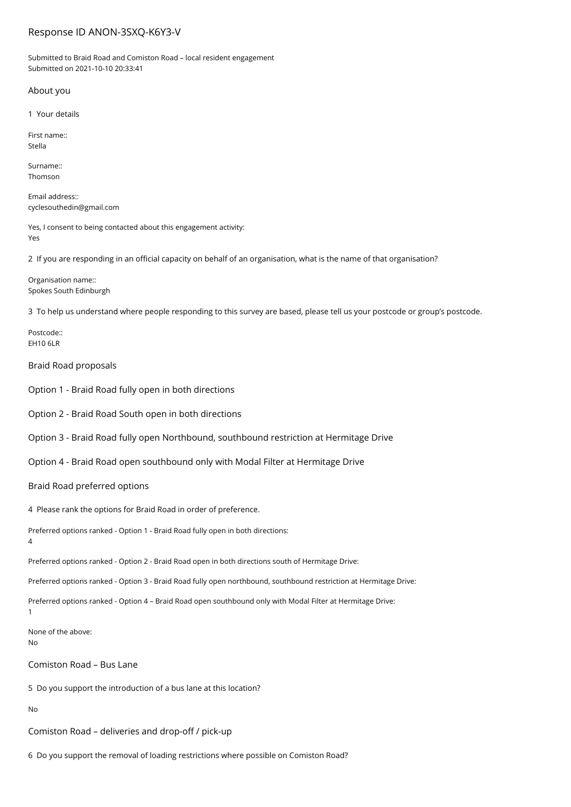# Response ID ANON-3SXQ-K6Y3-V

Submitted to Braid Road and Comiston Road – local resident engagement Submitted on 2021-10-10 20:33:41

# About you

1 Your details

First name:: Stella

Surname:: Thomson

Email address:: cyclesouthedin@gmail.com

Yes, I consent to being contacted about this engagement activity: Yes

2 If you are responding in an official capacity on behalf of an organisation, what is the name of that organisation?

Organisation name:: Spokes South Edinburgh

3 To help us understand where people responding to this survey are based, please tell us your postcode or group's postcode.

Postcode:: EH10 6LR

Braid Road proposals

Option 1 - Braid Road fully open in both directions

Option 2 - Braid Road South open in both directions

Option 3 - Braid Road fully open Northbound, southbound restriction at Hermitage Drive

Option 4 - Braid Road open southbound only with Modal Filter at Hermitage Drive

Braid Road preferred options

4 Please rank the options for Braid Road in order of preference.

Preferred options ranked - Option 1 - Braid Road fully open in both directions:

4

Preferred options ranked - Option 2 - Braid Road open in both directions south of Hermitage Drive:

Preferred options ranked - Option 3 - Braid Road fully open northbound, southbound restriction at Hermitage Drive:

Preferred options ranked - Option 4 – Braid Road open southbound only with Modal Filter at Hermitage Drive:

1

None of the above: No

Comiston Road – Bus Lane

5 Do you support the introduction of a bus lane at this location?

No

Comiston Road – deliveries and drop-off / pick-up

6 Do you support the removal of loading restrictions where possible on Comiston Road?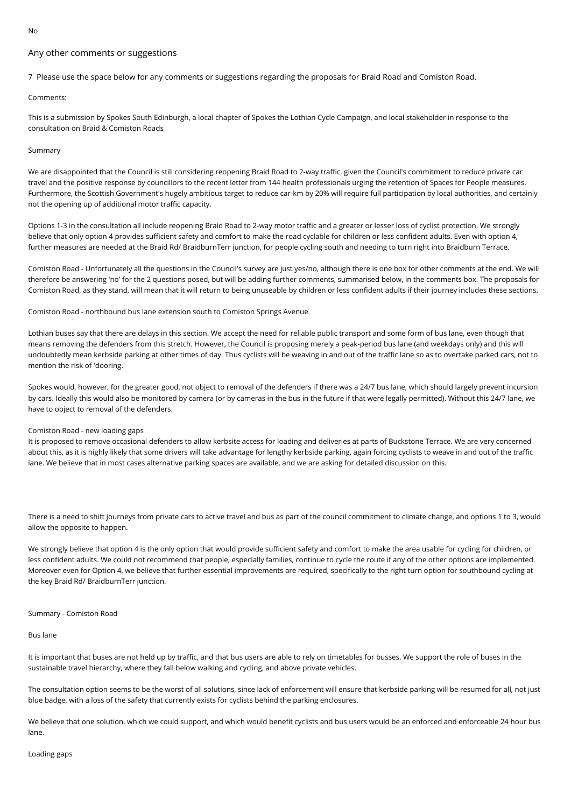#### $N<sub>0</sub>$

# Any other comments or suggestions

7 Please use the space below for any comments or suggestions regarding the proposals for Braid Road and Comiston Road.

### Comments:

This is a submission by Spokes South Edinburgh, a local chapter of Spokes the Lothian Cycle Campaign, and local stakeholder in response to the consultation on Braid & Comiston Roads

### Summary

We are disappointed that the Council is still considering reopening Braid Road to 2-way traffic, given the Council's commitment to reduce private car travel and the positive response by councillors to the recent letter from 144 health professionals urging the retention of Spaces for People measures. Furthermore, the Scottish Government's hugely ambitious target to reduce car-km by 20% will require full participation by local authorities, and certainly not the opening up of additional motor traffic capacity.

Options 1-3 in the consultation all include reopening Braid Road to 2-way motor traffic and a greater or lesser loss of cyclist protection. We strongly believe that only option 4 provides sufficient safety and comfort to make the road cyclable for children or less confident adults. Even with option 4, further measures are needed at the Braid Rd/ BraidburnTerr junction, for people cycling south and needing to turn right into Braidburn Terrace.

Comiston Road - Unfortunately all the questions in the Council's survey are just yes/no, although there is one box for other comments at the end. We will therefore be answering 'no' for the 2 questions posed, but will be adding further comments, summarised below, in the comments box. The proposals for Comiston Road, as they stand, will mean that it will return to being unuseable by children or less confident adults if their journey includes these sections.

Comiston Road - northbound bus lane extension south to Comiston Springs Avenue

Lothian buses say that there are delays in this section. We accept the need for reliable public transport and some form of bus lane, even though that means removing the defenders from this stretch. However, the Council is proposing merely a peak-period bus lane (and weekdays only) and this will undoubtedly mean kerbside parking at other times of day. Thus cyclists will be weaving in and out of the traffic lane so as to overtake parked cars, not to mention the risk of 'dooring.'

Spokes would, however, for the greater good, not object to removal of the defenders if there was a 24/7 bus lane, which should largely prevent incursion by cars. Ideally this would also be monitored by camera (or by cameras in the bus in the future if that were legally permitted). Without this 24/7 lane, we have to object to removal of the defenders.

### Comiston Road - new loading gaps

It is proposed to remove occasional defenders to allow kerbsite access for loading and deliveries at parts of Buckstone Terrace. We are very concerned about this, as it is highly likely that some drivers will take advantage for lengthy kerbside parking, again forcing cyclists to weave in and out of the traffic lane. We believe that in most cases alternative parking spaces are available, and we are asking for detailed discussion on this.

There is a need to shift journeys from private cars to active travel and bus as part of the council commitment to climate change, and options 1 to 3, would allow the opposite to happen.

We strongly believe that option 4 is the only option that would provide sufficient safety and comfort to make the area usable for cycling for children, or less confident adults. We could not recommend that people, especially families, continue to cycle the route if any of the other options are implemented. Moreover even for Option 4, we believe that further essential improvements are required, specifically to the right turn option for southbound cycling at the key Braid Rd/ BraidburnTerr junction.

### Summary - Comiston Road

## Bus lane

It is important that buses are not held up by traffic, and that bus users are able to rely on timetables for busses. We support the role of buses in the sustainable travel hierarchy, where they fall below walking and cycling, and above private vehicles.

The consultation option seems to be the worst of all solutions, since lack of enforcement will ensure that kerbside parking will be resumed for all, not just blue badge, with a loss of the safety that currently exists for cyclists behind the parking enclosures.

We believe that one solution, which we could support, and which would benefit cyclists and bus users would be an enforced and enforceable 24 hour bus lane.

#### Loading gaps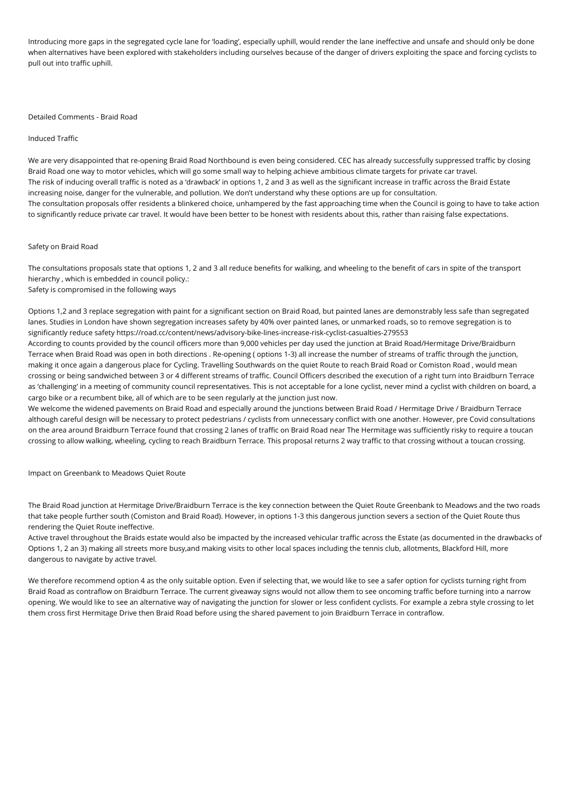Introducing more gaps in the segregated cycle lane for 'loading', especially uphill, would render the lane ineffective and unsafe and should only be done when alternatives have been explored with stakeholders including ourselves because of the danger of drivers exploiting the space and forcing cyclists to pull out into traffic uphill.

### Detailed Comments - Braid Road

### Induced Traffic

We are very disappointed that re-opening Braid Road Northbound is even being considered. CEC has already successfully suppressed traffic by closing Braid Road one way to motor vehicles, which will go some small way to helping achieve ambitious climate targets for private car travel. The risk of inducing overall traffic is noted as a 'drawback' in options 1, 2 and 3 as well as the significant increase in traffic across the Braid Estate increasing noise, danger for the vulnerable, and pollution. We don't understand why these options are up for consultation. The consultation proposals offer residents a blinkered choice, unhampered by the fast approaching time when the Council is going to have to take action to significantly reduce private car travel. It would have been better to be honest with residents about this, rather than raising false expectations.

### Safety on Braid Road

The consultations proposals state that options 1, 2 and 3 all reduce benefits for walking, and wheeling to the benefit of cars in spite of the transport hierarchy , which is embedded in council policy.: Safety is compromised in the following ways

Options 1,2 and 3 replace segregation with paint for a significant section on Braid Road, but painted lanes are demonstrably less safe than segregated lanes. Studies in London have shown segregation increases safety by 40% over painted lanes, or unmarked roads, so to remove segregation is to significantly reduce safety https://road.cc/content/news/advisory-bike-lines-increase-risk-cyclist-casualties-279553

According to counts provided by the council officers more than 9,000 vehicles per day used the junction at Braid Road/Hermitage Drive/Braidburn Terrace when Braid Road was open in both directions . Re-opening ( options 1-3) all increase the number of streams of traffic through the junction, making it once again a dangerous place for Cycling. Travelling Southwards on the quiet Route to reach Braid Road or Comiston Road , would mean crossing or being sandwiched between 3 or 4 different streams of traffic. Council Officers described the execution of a right turn into Braidburn Terrace as 'challenging' in a meeting of community council representatives. This is not acceptable for a lone cyclist, never mind a cyclist with children on board, a cargo bike or a recumbent bike, all of which are to be seen regularly at the junction just now.

We welcome the widened pavements on Braid Road and especially around the junctions between Braid Road / Hermitage Drive / Braidburn Terrace although careful design will be necessary to protect pedestrians / cyclists from unnecessary conflict with one another. However, pre Covid consultations on the area around Braidburn Terrace found that crossing 2 lanes of traffic on Braid Road near The Hermitage was sufficiently risky to require a toucan crossing to allow walking, wheeling, cycling to reach Braidburn Terrace. This proposal returns 2 way traffic to that crossing without a toucan crossing.

Impact on Greenbank to Meadows Quiet Route

The Braid Road junction at Hermitage Drive/Braidburn Terrace is the key connection between the Quiet Route Greenbank to Meadows and the two roads that take people further south (Comiston and Braid Road). However, in options 1-3 this dangerous junction severs a section of the Quiet Route thus rendering the Quiet Route ineffective.

Active travel throughout the Braids estate would also be impacted by the increased vehicular traffic across the Estate (as documented in the drawbacks of Options 1, 2 an 3) making all streets more busy,and making visits to other local spaces including the tennis club, allotments, Blackford Hill, more dangerous to navigate by active travel.

We therefore recommend option 4 as the only suitable option. Even if selecting that, we would like to see a safer option for cyclists turning right from Braid Road as contraflow on Braidburn Terrace. The current giveaway signs would not allow them to see oncoming traffic before turning into a narrow opening. We would like to see an alternative way of navigating the junction for slower or less confident cyclists. For example a zebra style crossing to let them cross first Hermitage Drive then Braid Road before using the shared pavement to join Braidburn Terrace in contraflow.